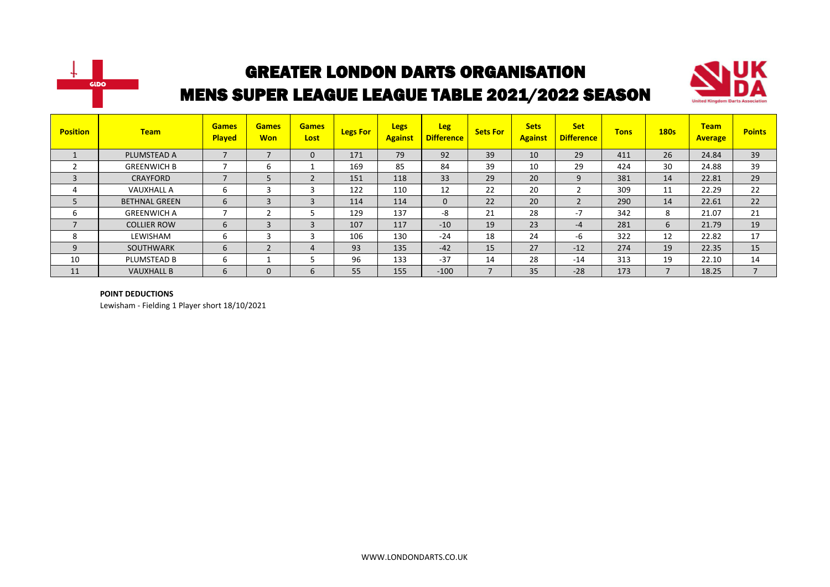



| <b>Position</b>          | <b>Team</b>          | <b>Games</b><br><b>Played</b> | <b>Games</b><br><b>Won</b> | <b>Games</b><br>Lost | <b>Legs For</b> | <b>Legs</b><br><b>Against</b> | <b>Leg</b><br><b>Difference</b> | <b>Sets For</b> | <b>Sets</b><br><b>Against</b> | <b>Set</b><br><b>Difference</b> | <b>Tons</b> | <b>180s</b>              | <b>Team</b><br><b>Average</b> | <b>Points</b> |
|--------------------------|----------------------|-------------------------------|----------------------------|----------------------|-----------------|-------------------------------|---------------------------------|-----------------|-------------------------------|---------------------------------|-------------|--------------------------|-------------------------------|---------------|
|                          | PLUMSTEAD A          |                               | $\overline{\phantom{a}}$   | 0                    | 171             | 79                            | 92                              | 39              | 10                            | 29                              | 411         | 26                       | 24.84                         | 39            |
|                          | <b>GREENWICH B</b>   |                               | 6                          |                      | 169             | 85                            | 84                              | 39              | 10                            | 29                              | 424         | 30                       | 24.88                         | 39            |
| $\overline{3}$           | CRAYFORD             | $\overline{\phantom{0}}$      | 5                          |                      | 151             | 118                           | 33                              | 29              | 20                            | 9                               | 381         | 14                       | 22.81                         | 29            |
| 4                        | <b>VAUXHALL A</b>    | b                             | 3                          |                      | 122             | 110                           | 12                              | 22              | 20                            |                                 | 309         | 11                       | 22.29                         | 22            |
| 5                        | <b>BETHNAL GREEN</b> | 6                             | 3                          | 3                    | 114             | 114                           | $\mathbf{0}$                    | 22              | 20                            | $\overline{2}$                  | 290         | 14                       | 22.61                         | 22            |
| ь                        | <b>GREENWICH A</b>   |                               | C                          |                      | 129             | 137                           | -8                              | 21              | 28                            | $-7$                            | 342         | 8                        | 21.07                         | 21            |
| $\overline{\phantom{a}}$ | <b>COLLIER ROW</b>   | $\sigma$                      | 3                          | 3                    | 107             | 117                           | $-10$                           | 19              | 23                            | $-4$                            | 281         | 6                        | 21.79                         | 19            |
| 8                        | LEWISHAM             | ь                             | 3                          |                      | 106             | 130                           | $-24$                           | 18              | 24                            | -6                              | 322         | 12                       | 22.82                         | 17            |
| 9                        | <b>SOUTHWARK</b>     | b                             | $\overline{2}$             | 4                    | 93              | 135                           | $-42$                           | 15              | 27                            | $-12$                           | 274         | 19                       | 22.35                         | 15            |
| 10                       | PLUMSTEAD B          | b                             |                            |                      | 96              | 133                           | $-37$                           | 14              | 28                            | $-14$                           | 313         | 19                       | 22.10                         | 14            |
| 11                       | <b>VAUXHALL B</b>    | 6                             | $\mathbf 0$                | b                    | 55              | 155                           | $-100$                          |                 | 35                            | $-28$                           | 173         | $\overline{\phantom{a}}$ | 18.25                         |               |

#### **POINT DEDUCTIONS**

Lewisham - Fielding 1 Player short 18/10/2021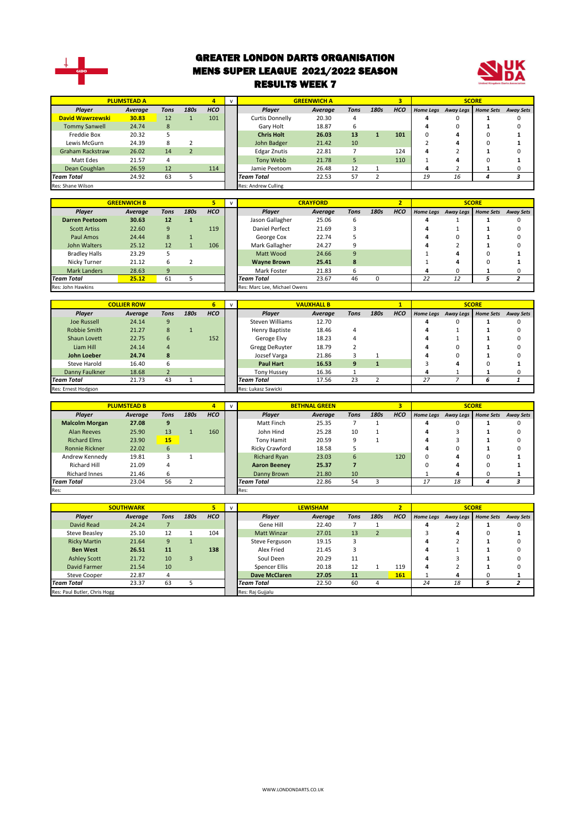

#### GREATER LONDON DARTS ORGANISATION MENS SUPER LEAGUE 2021/2022 SEASON RESULTS WEEK 7



|                         | <b>PLUMSTEAD A</b> |      |      | 4                   |                     | <b>GREENWICH A</b> |             |      |            |                  |                  | <b>SCORE</b> |                  |
|-------------------------|--------------------|------|------|---------------------|---------------------|--------------------|-------------|------|------------|------------------|------------------|--------------|------------------|
| <b>Plaver</b>           | Average            | Tons | 180s | <b>HCO</b>          | Plaver              | Average            | <b>Tons</b> | 180s | <b>HCO</b> | <b>Home Legs</b> | <b>Away Legs</b> | Home Sets    | <b>Away Sets</b> |
| David Wawrzewski        | 30.83              | 12   |      | 101                 | Curtis Donnelly     | 20.30              |             |      |            |                  |                  |              |                  |
| <b>Tommy Sanwell</b>    | 24.74              | 8    |      |                     | Gary Holt           | 18.87              | b           |      |            |                  |                  |              |                  |
| Freddie Box             | 20.32              |      |      |                     | <b>Chris Holt</b>   | 26.03              | 13          |      | 101        |                  |                  |              |                  |
| Lewis McGurn            | 24.39              | 8    |      |                     | John Badger         | 21.42              | 10          |      |            |                  |                  |              |                  |
| <b>Graham Rackstraw</b> | 26.02              | 14   |      |                     | <b>Edgar Znutis</b> | 22.81              |             |      | 124        | 4                |                  |              |                  |
| Matt Edes               | 21.57              | 4    |      |                     | Tony Webb           | 21.78              |             |      | 110        |                  |                  |              |                  |
| Dean Coughlan           | 26.59              | 12   |      | 114                 | Jamie Peetoom       | 26.48              | 12          |      |            |                  |                  |              |                  |
| <b>Team Total</b>       | 24.92              | 63   |      |                     | <b>Team Total</b>   | 22.53              | 57          |      |            | 19               | 16               |              |                  |
| Res: Shane Wilson       |                    |      |      | Res: Andrew Culling |                     |                    |             |      |            |                  |                  |              |                  |

|                       | <b>GREENWICH B</b> |      |      |            |                              | <b>CRAYFORD</b> |      |      |            |                  |           | <b>SCORE</b>     |                  |
|-----------------------|--------------------|------|------|------------|------------------------------|-----------------|------|------|------------|------------------|-----------|------------------|------------------|
| Player                | Average            | Tons | 180s | <b>HCO</b> | Player                       | Average         | Tons | 180s | <b>HCO</b> | <b>Home Legs</b> | Away Legs | <b>Home Sets</b> | <b>Away Sets</b> |
| <b>Darren Peetoom</b> | 30.63              | 12   |      |            | Jason Gallagher              | 25.06           | 6    |      |            | 4                |           |                  | <sup>0</sup>     |
| <b>Scott Artiss</b>   | 22.60              | 9    |      | 119        | Daniel Perfect               | 21.69           |      |      |            | 4                |           |                  |                  |
| Paul Amos             | 24.44              | 8    |      |            | George Cox                   | 22.74           |      |      |            |                  |           |                  |                  |
| John Walters          | 25.12              | 12   |      | 106        | Mark Gallagher               | 24.27           |      |      |            | л                |           |                  |                  |
| <b>Bradley Halls</b>  | 23.29              |      |      |            | Matt Wood                    | 24.66           | 9    |      |            |                  |           | 0                |                  |
| Nicky Turner          | 21.12              | 6    |      |            | <b>Wayne Brown</b>           | 25.41           | 8    |      |            |                  |           |                  |                  |
| <b>Mark Landers</b>   | 28.63              | 9    |      |            | Mark Foster                  | 21.83           | 6    |      |            | 4                |           |                  |                  |
| <b>Team Total</b>     | 25.12              | 61   |      |            | <b>Team Total</b>            | 23.67           | 46   |      |            | 22               | 12        |                  |                  |
| Res: John Hawkins     |                    |      |      |            | Res: Marc Lee, Michael Owens |                 |      |      |            |                  |           |                  |                  |

|                     | <b>COLLIER ROW</b> |      |      | 6          |                                  | <b>VAUXHALL B</b> |      |      |            |  |                               | <b>SCORE</b> |                  |
|---------------------|--------------------|------|------|------------|----------------------------------|-------------------|------|------|------------|--|-------------------------------|--------------|------------------|
| Player              | Average            | Tons | 180s | <b>HCO</b> | <b>Plaver</b>                    | Average           | Tons | 180s | <b>HCO</b> |  | Home Legs Away Legs Home Sets |              | <b>Away Sets</b> |
| <b>Joe Russell</b>  | 24.14              | 9    |      |            | Steven Williams                  | 12.70             |      |      |            |  | 0                             |              |                  |
| Robbie Smith        | 21.27              | 8    |      |            | 18.46<br>Henry Baptiste          |                   | 4    |      |            |  |                               |              |                  |
| Shaun Lovett        | 22.75              | 6    |      | 152        | Geroge Elvy                      | 18.23             | 4    |      |            |  |                               |              |                  |
| Liam Hill           | 24.14              | 4    |      |            | Gregg DeRuyter                   | 18.79             |      |      |            |  | 0                             |              |                  |
| John Loeber         | 24.74              | 8    |      |            | Jozsef Varga                     | 21.86             |      |      |            |  | n                             |              |                  |
| Steve Harold        | 16.40              | 6    |      |            | <b>Paul Hart</b>                 | 16.53             | 9    |      |            |  | 4                             |              |                  |
| Danny Faulkner      | 18.68              |      |      |            | <b>Tony Hussey</b>               | 16.36             |      |      |            |  |                               |              |                  |
| <b>Team Total</b>   | 21.73              | 43   |      |            | <b>Team Total</b><br>17.56<br>23 |                   |      |      | 27         |  | ь                             |              |                  |
| Res: Ernest Hodgson |                    |      |      |            | Res: Lukasz Sawicki              |                   |      |      |            |  |                               |              |                  |

|                       | <b>PLUMSTEAD B</b> |      |      |            | $\mathbf{v}$ |                       | <b>BETHNAL GREEN</b> |             |      | э          |    |    | <b>SCORE</b>                  |                  |
|-----------------------|--------------------|------|------|------------|--------------|-----------------------|----------------------|-------------|------|------------|----|----|-------------------------------|------------------|
| Player                | Average            | Tons | 180s | <b>HCO</b> |              | Player                | Average              | <b>Tons</b> | 180s | <b>HCO</b> |    |    | Home Legs Away Legs Home Sets | <b>Away Sets</b> |
| <b>Malcolm Morgan</b> | 27.08              | 9    |      |            |              | Matt Finch            | 25.35                |             |      |            |    |    |                               |                  |
| Alan Reeves           | 13<br>25.90        |      | 160  |            | John Hind    | 25.28                 | 10                   |             |      | 4          |    |    |                               |                  |
| <b>Richard Elms</b>   | 23.90              | 15   |      |            |              | Tony Hamit            | 20.59                |             |      |            |    |    |                               |                  |
| <b>Ronnie Rickner</b> | 22.02              | 6    |      |            |              | <b>Ricky Crawford</b> | 18.58                |             |      |            |    |    |                               |                  |
| Andrew Kennedy        | 19.81              |      |      |            |              | <b>Richard Ryan</b>   | 23.03                | 6           |      | 120        | 0  |    |                               |                  |
| <b>Richard Hill</b>   | 21.09              | 4    |      |            |              | <b>Aaron Beeney</b>   | 25.37                |             |      |            |    |    |                               |                  |
| Richard Innes         | 21.46              | 6.   |      |            |              | Danny Brown           | 21.80                | 10          |      |            |    | 4  |                               |                  |
| <b>Team Total</b>     | 23.04              | 56   |      |            |              | <b>Team Total</b>     | 22.86                | 54          |      |            | 17 | 18 |                               |                  |
| Res:                  |                    |      |      |            |              | Res:                  |                      |             |      |            |    |    |                               |                  |

|                              | <b>SOUTHWARK</b> |      |      |            | $\mathbf{v}$ |                                     | <b>LEWISHAM</b> |      |                | $\overline{\mathbf{z}}$ |    |                     | <b>SCORE</b>     |                  |
|------------------------------|------------------|------|------|------------|--------------|-------------------------------------|-----------------|------|----------------|-------------------------|----|---------------------|------------------|------------------|
| Player                       | Average          | Tons | 180s | <b>HCO</b> |              | Player                              | Average         | Tons | 180s           | <b>HCO</b>              |    | Home Legs Away Legs | <b>Home Sets</b> | <b>Away Sets</b> |
| David Read                   | 24.24            |      |      |            |              | Gene Hill                           | 22.40           |      |                |                         | 4  |                     |                  |                  |
| Steve Beasley                | 25.10            | 12   |      | 104        |              | Matt Winzar                         | 27.01           | 13   | $\overline{2}$ |                         |    | 4                   | $\Omega$         |                  |
| <b>Ricky Martin</b>          | 21.64            | 9    |      |            |              | 19.15<br>Steve Ferguson             |                 |      |                | 4                       |    |                     |                  |                  |
| <b>Ben West</b>              | 26.51            | 11   |      | 138        |              | Alex Fried                          | 21.45           |      |                |                         | д  |                     |                  |                  |
| <b>Ashley Scott</b>          | 21.72            | 10   | 3    |            |              | Soul Deen                           | 20.29           | 11   |                |                         | 4  |                     |                  |                  |
| <b>David Farmer</b>          | 21.54            | 10   |      |            |              | Spencer Ellis                       | 20.18           | 12   |                | 119                     | 4  |                     |                  |                  |
| <b>Steve Cooper</b>          | 22.87            | 4    |      |            |              | <b>Dave McClaren</b><br>27.05<br>11 |                 |      | 161            |                         |    |                     |                  |                  |
| <b>Team Total</b>            | 23.37            | 63   |      |            |              | 22.50<br>60<br><b>Team Total</b>    |                 |      | 4              |                         | 24 | 18                  |                  |                  |
| Res: Paul Butler, Chris Hogg |                  |      |      |            |              | Res: Raj Gujjalu                    |                 |      |                |                         |    |                     |                  |                  |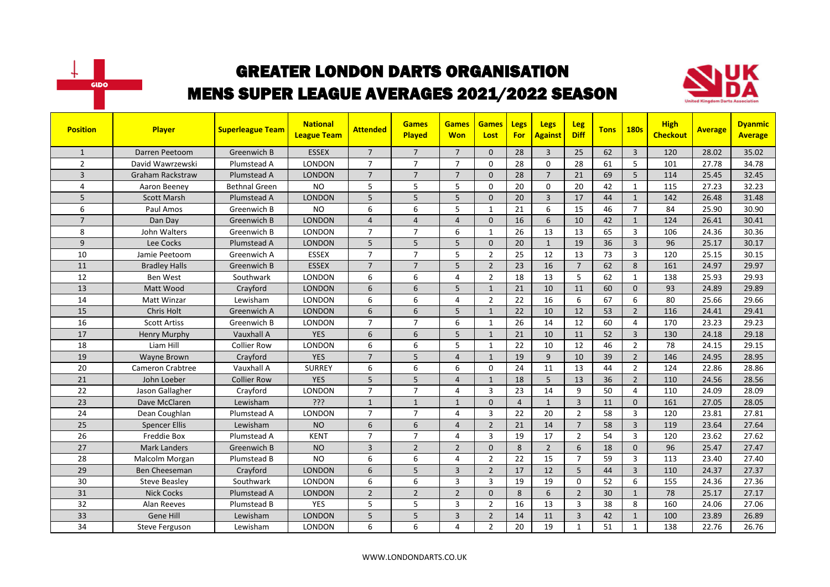



| <b>Position</b> | <b>Player</b>           | <b>Superleague Team</b> | <b>National</b><br><b>League Team</b> | <b>Attended</b> | <b>Games</b><br><b>Played</b> | <b>Games</b><br><b>Won</b> | <b>Games</b><br>Lost | <b>Legs</b><br><b>For</b> | Legs<br><b>Against</b> | Leg<br><b>Diff</b> | <b>Tons</b> | <b>180s</b>    | <b>High</b><br><b>Checkout</b> | <b>Average</b> | <b>Dyanmic</b><br><b>Average</b> |
|-----------------|-------------------------|-------------------------|---------------------------------------|-----------------|-------------------------------|----------------------------|----------------------|---------------------------|------------------------|--------------------|-------------|----------------|--------------------------------|----------------|----------------------------------|
| $\mathbf{1}$    | Darren Peetoom          | Greenwich B             | <b>ESSEX</b>                          | $\overline{7}$  | $\overline{7}$                | $\overline{7}$             | $\Omega$             | 28                        | $\overline{3}$         | 25                 | 62          | $\overline{3}$ | 120                            | 28.02          | 35.02                            |
| $\overline{2}$  | David Wawrzewski        | Plumstead A             | LONDON                                | $\overline{7}$  | $\overline{7}$                | $\overline{7}$             | 0                    | 28                        | 0                      | 28                 | 61          | 5              | 101                            | 27.78          | 34.78                            |
| 3               | <b>Graham Rackstraw</b> | Plumstead A             | <b>LONDON</b>                         | $\overline{7}$  | $\overline{7}$                | $\overline{7}$             | $\Omega$             | 28                        | $\overline{7}$         | 21                 | 69          | 5              | 114                            | 25.45          | 32.45                            |
| 4               | Aaron Beeney            | <b>Bethnal Green</b>    | <b>NO</b>                             | 5               | 5                             | 5                          | $\Omega$             | 20                        | $\Omega$               | 20                 | 42          | $\mathbf{1}$   | 115                            | 27.23          | 32.23                            |
| 5               | <b>Scott Marsh</b>      | Plumstead A             | <b>LONDON</b>                         | 5               | 5                             | 5 <sup>1</sup>             | $\Omega$             | 20                        | $\overline{3}$         | 17                 | 44          | $\mathbf{1}$   | 142                            | 26.48          | 31.48                            |
| 6               | Paul Amos               | Greenwich B             | NO.                                   | 6               | 6                             | 5                          | 1                    | 21                        | 6                      | 15                 | 46          | $\overline{7}$ | 84                             | 25.90          | 30.90                            |
| $\overline{7}$  | Dan Day                 | Greenwich B             | <b>LONDON</b>                         | $\overline{4}$  | $\overline{4}$                | $\overline{4}$             | $\Omega$             | 16                        | 6                      | 10                 | 42          | $\mathbf{1}$   | 124                            | 26.41          | 30.41                            |
| 8               | John Walters            | Greenwich B             | <b>LONDON</b>                         | $\overline{7}$  | $\overline{7}$                | 6                          | 1                    | 26                        | 13                     | 13                 | 65          | $\overline{3}$ | 106                            | 24.36          | 30.36                            |
| 9               | Lee Cocks               | Plumstead A             | <b>LONDON</b>                         | 5               | 5                             | 5                          | $\Omega$             | 20                        | $\mathbf{1}$           | 19                 | 36          | $\overline{3}$ | 96                             | 25.17          | 30.17                            |
| 10              | Jamie Peetoom           | Greenwich A             | <b>ESSEX</b>                          | $\overline{7}$  | $\overline{7}$                | 5                          | $\overline{2}$       | 25                        | 12                     | 13                 | 73          | 3              | 120                            | 25.15          | 30.15                            |
| 11              | <b>Bradley Halls</b>    | Greenwich B             | <b>ESSEX</b>                          | $\overline{7}$  | $\overline{7}$                | 5                          | $\overline{2}$       | 23                        | 16                     | $\overline{7}$     | 62          | 8              | 161                            | 24.97          | 29.97                            |
| 12              | Ben West                | Southwark               | <b>LONDON</b>                         | 6               | 6                             | 4                          | $\overline{2}$       | 18                        | 13                     | 5                  | 62          | $\mathbf{1}$   | 138                            | 25.93          | 29.93                            |
| 13              | Matt Wood               | Crayford                | <b>LONDON</b>                         | 6               | 6                             | 5                          | $\mathbf{1}$         | 21                        | 10                     | 11                 | 60          | $\mathbf{0}$   | 93                             | 24.89          | 29.89                            |
| 14              | Matt Winzar             | Lewisham                | LONDON                                | 6               | 6                             | 4                          | $\overline{2}$       | 22                        | 16                     | 6                  | 67          | 6              | 80                             | 25.66          | 29.66                            |
| 15              | Chris Holt              | Greenwich A             | <b>LONDON</b>                         | 6               | 6                             | 5                          | $\mathbf{1}$         | 22                        | 10                     | 12                 | 53          | $\overline{2}$ | 116                            | 24.41          | 29.41                            |
| 16              | <b>Scott Artiss</b>     | Greenwich B             | <b>LONDON</b>                         | $\overline{7}$  | $\overline{7}$                | 6                          | $\mathbf{1}$         | 26                        | 14                     | 12                 | 60          | 4              | 170                            | 23.23          | 29.23                            |
| 17              | <b>Henry Murphy</b>     | Vauxhall A              | <b>YES</b>                            | 6               | $6\phantom{1}6$               | 5                          | $\mathbf{1}$         | 21                        | 10                     | 11                 | 52          | $\overline{3}$ | 130                            | 24.18          | 29.18                            |
| 18              | Liam Hill               | <b>Collier Row</b>      | LONDON                                | 6               | 6                             | 5                          | 1                    | 22                        | 10                     | 12                 | 46          | $\overline{2}$ | 78                             | 24.15          | 29.15                            |
| 19              | Wayne Brown             | Crayford                | <b>YES</b>                            | $\overline{7}$  | 5                             | $\overline{4}$             | $\mathbf{1}$         | 19                        | 9                      | 10                 | 39          | $\overline{2}$ | 146                            | 24.95          | 28.95                            |
| 20              | <b>Cameron Crabtree</b> | Vauxhall A              | <b>SURREY</b>                         | 6               | 6                             | 6                          | $\mathbf{0}$         | 24                        | 11                     | 13                 | 44          | $\overline{2}$ | 124                            | 22.86          | 28.86                            |
| 21              | John Loeber             | Collier Row             | <b>YES</b>                            | 5               | 5                             | $\overline{4}$             | $\mathbf{1}$         | 18                        | 5                      | 13                 | 36          | $\overline{2}$ | 110                            | 24.56          | 28.56                            |
| 22              | Jason Gallagher         | Crayford                | LONDON                                | $\overline{7}$  | $\overline{7}$                | 4                          | 3                    | 23                        | 14                     | 9                  | 50          | 4              | 110                            | 24.09          | 28.09                            |
| 23              | Dave McClaren           | Lewisham                | ???                                   | $\mathbf{1}$    | $\mathbf{1}$                  | $\mathbf{1}$               | $\Omega$             | $\overline{4}$            | $\mathbf{1}$           | $\overline{3}$     | 11          | $\mathbf{0}$   | 161                            | 27.05          | 28.05                            |
| 24              | Dean Coughlan           | Plumstead A             | LONDON                                | $\overline{7}$  | $\overline{7}$                | 4                          | $\overline{3}$       | 22                        | 20                     | $\overline{2}$     | 58          | $\overline{3}$ | 120                            | 23.81          | 27.81                            |
| 25              | <b>Spencer Ellis</b>    | Lewisham                | <b>NO</b>                             | 6               | 6                             | $\overline{4}$             | $\overline{2}$       | 21                        | 14                     | $\overline{7}$     | 58          | $\overline{3}$ | 119                            | 23.64          | 27.64                            |
| 26              | <b>Freddie Box</b>      | Plumstead A             | <b>KENT</b>                           | $\overline{7}$  | $\overline{7}$                | 4                          | $\overline{3}$       | 19                        | 17                     | $\overline{2}$     | 54          | 3              | 120                            | 23.62          | 27.62                            |
| 27              | <b>Mark Landers</b>     | Greenwich B             | <b>NO</b>                             | $\overline{3}$  | $\overline{2}$                | $\overline{2}$             | $\Omega$             | 8                         | $\overline{2}$         | 6                  | 18          | $\Omega$       | 96                             | 25.47          | 27.47                            |
| 28              | Malcolm Morgan          | Plumstead B             | <b>NO</b>                             | 6               | 6                             | 4                          | $\overline{2}$       | 22                        | 15                     | $\overline{7}$     | 59          | 3              | 113                            | 23.40          | 27.40                            |
| 29              | Ben Cheeseman           | Crayford                | <b>LONDON</b>                         | 6               | 5                             | $\overline{3}$             | $\overline{2}$       | 17                        | 12                     | 5                  | 44          | $\overline{3}$ | 110                            | 24.37          | 27.37                            |
| 30              | <b>Steve Beasley</b>    | Southwark               | <b>LONDON</b>                         | 6               | 6                             | 3                          | 3                    | 19                        | 19                     | $\Omega$           | 52          | 6              | 155                            | 24.36          | 27.36                            |
| 31              | <b>Nick Cocks</b>       | Plumstead A             | <b>LONDON</b>                         | $\overline{2}$  | $\overline{2}$                | $\overline{2}$             | $\Omega$             | 8                         | 6                      | $\overline{2}$     | 30          | $\mathbf{1}$   | 78                             | 25.17          | 27.17                            |
| 32              | <b>Alan Reeves</b>      | Plumstead B             | <b>YES</b>                            | 5               | 5                             | 3                          | $\overline{2}$       | 16                        | 13                     | 3                  | 38          | 8              | 160                            | 24.06          | 27.06                            |
| 33              | Gene Hill               | Lewisham                | <b>LONDON</b>                         | 5               | 5                             | 3                          | $\overline{2}$       | 14                        | 11                     | $\overline{3}$     | 42          | $\mathbf{1}$   | 100                            | 23.89          | 26.89                            |
| 34              | Steve Ferguson          | Lewisham                | LONDON                                | 6               | 6                             | 4                          | $\overline{2}$       | 20                        | 19                     | $\mathbf{1}$       | 51          | $\mathbf{1}$   | 138                            | 22.76          | 26.76                            |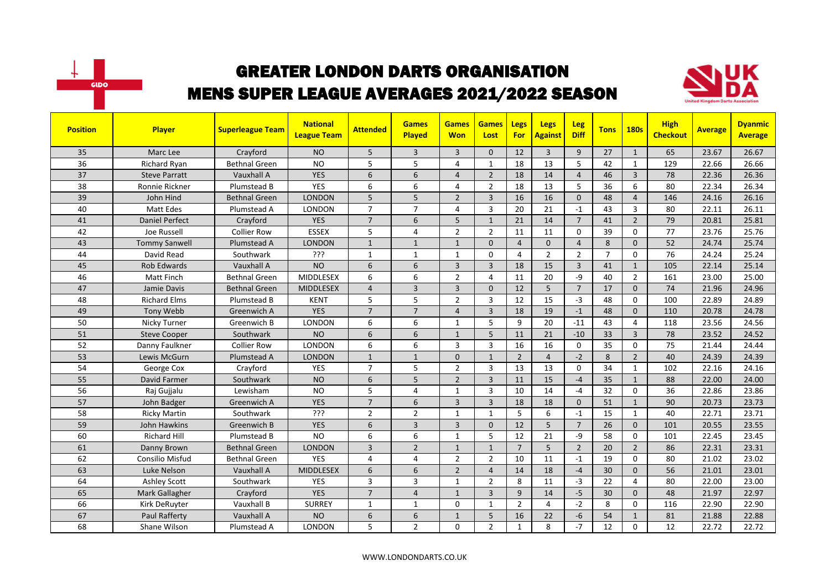



| <b>Position</b> | <b>Player</b>         | <b>Superleague Team</b> | <b>National</b><br><b>League Team</b> | <b>Attended</b> | <b>Games</b><br>Played | <b>Games</b><br><b>Won</b> | <b>Games</b><br>Lost | <b>Legs</b><br><b>For</b> | <b>Legs</b><br><b>Against</b> | Leg<br><b>Diff</b> | <b>Tons</b>    | <b>180s</b>    | <b>High</b><br><b>Checkout</b> | <b>Average</b> | <b>Dyanmic</b><br><b>Average</b> |
|-----------------|-----------------------|-------------------------|---------------------------------------|-----------------|------------------------|----------------------------|----------------------|---------------------------|-------------------------------|--------------------|----------------|----------------|--------------------------------|----------------|----------------------------------|
| 35              | Marc Lee              | Crayford                | <b>NO</b>                             | 5               | 3                      | $\overline{3}$             | $\mathbf{0}$         | 12                        | 3                             | 9                  | 27             | $\mathbf{1}$   | 65                             | 23.67          | 26.67                            |
| 36              | <b>Richard Ryan</b>   | <b>Bethnal Green</b>    | <b>NO</b>                             | 5               | 5                      | 4                          | 1                    | 18                        | 13                            | 5                  | 42             | $\mathbf{1}$   | 129                            | 22.66          | 26.66                            |
| 37              | <b>Steve Parratt</b>  | Vauxhall A              | <b>YES</b>                            | 6               | 6                      | 4                          | $\overline{2}$       | 18                        | 14                            | $\overline{4}$     | 46             | 3              | 78                             | 22.36          | 26.36                            |
| 38              | Ronnie Rickner        | Plumstead B             | YES                                   | 6               | 6                      | 4                          | $\overline{2}$       | 18                        | 13                            | 5                  | 36             | 6              | 80                             | 22.34          | 26.34                            |
| 39              | John Hind             | Bethnal Green           | <b>LONDON</b>                         | 5               | 5                      | $\overline{2}$             | $\overline{3}$       | 16                        | 16                            | $\Omega$           | 48             | $\overline{4}$ | 146                            | 24.16          | 26.16                            |
| 40              | <b>Matt Edes</b>      | Plumstead A             | <b>LONDON</b>                         | $\overline{7}$  | $\overline{7}$         | 4                          | $\overline{3}$       | 20                        | 21                            | $-1$               | 43             | 3              | 80                             | 22.11          | 26.11                            |
| 41              | <b>Daniel Perfect</b> | Crayford                | <b>YES</b>                            | $\overline{7}$  | 6                      | 5                          | $\mathbf{1}$         | 21                        | 14                            | $\overline{7}$     | 41             | $\overline{2}$ | 79                             | 20.81          | 25.81                            |
| 42              | Joe Russell           | <b>Collier Row</b>      | <b>ESSEX</b>                          | 5               | $\overline{4}$         | $\overline{2}$             | $\overline{2}$       | 11                        | 11                            | $\mathbf 0$        | 39             | 0              | 77                             | 23.76          | 25.76                            |
| 43              | <b>Tommy Sanwell</b>  | Plumstead A             | <b>LONDON</b>                         | $\mathbf{1}$    | $\mathbf{1}$           | $\mathbf{1}$               | $\mathbf{0}$         | $\overline{4}$            | $\mathbf{0}$                  | $\overline{4}$     | 8              | $\mathbf{0}$   | 52                             | 24.74          | 25.74                            |
| 44              | David Read            | Southwark               | ???                                   | $\mathbf{1}$    | $\mathbf{1}$           | 1                          | $\Omega$             | 4                         | $\overline{2}$                | $\overline{2}$     | $\overline{7}$ | 0              | 76                             | 24.24          | 25.24                            |
| 45              | <b>Rob Edwards</b>    | Vauxhall A              | <b>NO</b>                             | 6               | 6                      | 3                          | $\overline{3}$       | 18                        | 15                            | $\overline{3}$     | 41             | $\mathbf{1}$   | 105                            | 22.14          | 25.14                            |
| 46              | Matt Finch            | <b>Bethnal Green</b>    | <b>MIDDLESEX</b>                      | 6               | 6                      | $\overline{2}$             | $\overline{4}$       | 11                        | 20                            | $-9$               | 40             | $\overline{2}$ | 161                            | 23.00          | 25.00                            |
| 47              | Jamie Davis           | <b>Bethnal Green</b>    | <b>MIDDLESEX</b>                      | $\overline{4}$  | $\overline{3}$         | 3                          | $\Omega$             | 12                        | 5                             | $\overline{7}$     | 17             | $\mathbf 0$    | 74                             | 21.96          | 24.96                            |
| 48              | <b>Richard Elms</b>   | Plumstead B             | <b>KENT</b>                           | 5               | 5                      | $\overline{2}$             | 3                    | 12                        | 15                            | $-3$               | 48             | $\Omega$       | 100                            | 22.89          | 24.89                            |
| 49              | Tony Webb             | Greenwich A             | <b>YES</b>                            | $\overline{7}$  | $\overline{7}$         | $\overline{4}$             | $\overline{3}$       | 18                        | 19                            | $-1$               | 48             | $\Omega$       | 110                            | 20.78          | 24.78                            |
| 50              | Nicky Turner          | Greenwich B             | LONDON                                | 6               | 6                      | $\mathbf{1}$               | 5                    | 9                         | 20                            | $-11$              | 43             | $\overline{4}$ | 118                            | 23.56          | 24.56                            |
| 51              | <b>Steve Cooper</b>   | Southwark               | <b>NO</b>                             | 6               | 6                      | $\mathbf{1}$               | 5                    | 11                        | 21                            | $-10$              | 33             | $\overline{3}$ | 78                             | 23.52          | 24.52                            |
| 52              | Danny Faulkner        | <b>Collier Row</b>      | LONDON                                | 6               | 6                      | 3                          | $\overline{3}$       | 16                        | 16                            | $\mathbf 0$        | 35             | 0              | 75                             | 21.44          | 24.44                            |
| 53              | Lewis McGurn          | Plumstead A             | <b>LONDON</b>                         | $\mathbf{1}$    | $\mathbf{1}$           | $\Omega$                   | $\mathbf{1}$         | $\overline{2}$            | $\overline{4}$                | $-2$               | 8              | $\overline{2}$ | 40                             | 24.39          | 24.39                            |
| 54              | George Cox            | Crayford                | <b>YES</b>                            | $\overline{7}$  | 5                      | $\overline{2}$             | $\overline{3}$       | 13                        | 13                            | $\Omega$           | 34             | $\mathbf{1}$   | 102                            | 22.16          | 24.16                            |
| 55              | David Farmer          | Southwark               | <b>NO</b>                             | 6               | 5                      | $\overline{2}$             | $\overline{3}$       | 11                        | 15                            | $-4$               | 35             | $\mathbf{1}$   | 88                             | 22.00          | 24.00                            |
| 56              | Raj Gujjalu           | Lewisham                | <b>NO</b>                             | 5               | 4                      | 1                          | $\overline{3}$       | 10                        | 14                            | $-4$               | 32             | 0              | 36                             | 22.86          | 23.86                            |
| 57              | John Badger           | Greenwich A             | <b>YES</b>                            | $\overline{7}$  | 6                      | 3                          | $\overline{3}$       | 18                        | 18                            | $\mathbf{0}$       | 51             | $\mathbf{1}$   | 90                             | 20.73          | 23.73                            |
| 58              | <b>Ricky Martin</b>   | Southwark               | ?ְרְרָ                                | $\overline{2}$  | $\overline{2}$         | 1                          | 1                    | 5                         | 6                             | $-1$               | 15             | $\mathbf{1}$   | 40                             | 22.71          | 23.71                            |
| 59              | John Hawkins          | Greenwich B             | <b>YES</b>                            | 6               | $\overline{3}$         | $\overline{3}$             | $\Omega$             | 12                        | 5                             | $\overline{7}$     | 26             | $\Omega$       | 101                            | 20.55          | 23.55                            |
| 60              | <b>Richard Hill</b>   | Plumstead B             | N <sub>O</sub>                        | 6               | 6                      | $\mathbf{1}$               | 5                    | 12                        | 21                            | $-9$               | 58             | $\Omega$       | 101                            | 22.45          | 23.45                            |
| 61              | Danny Brown           | <b>Bethnal Green</b>    | <b>LONDON</b>                         | 3               | $\overline{2}$         | $\mathbf{1}$               | $\mathbf{1}$         | $\overline{7}$            | 5                             | $\overline{2}$     | 20             | $\overline{2}$ | 86                             | 22.31          | 23.31                            |
| 62              | Consilio Misfud       | <b>Bethnal Green</b>    | <b>YES</b>                            | 4               | 4                      | $\overline{2}$             | $\overline{2}$       | 10                        | 11                            | $-1$               | 19             | $\Omega$       | 80                             | 21.02          | 23.02                            |
| 63              | Luke Nelson           | Vauxhall A              | <b>MIDDLESEX</b>                      | 6               | 6                      | $\overline{2}$             | $\overline{4}$       | 14                        | 18                            | $-4$               | 30             | $\Omega$       | 56                             | 21.01          | 23.01                            |
| 64              | <b>Ashley Scott</b>   | Southwark               | <b>YES</b>                            | 3               | $\overline{3}$         | $\mathbf{1}$               | $\overline{2}$       | 8                         | 11                            | $-3$               | 22             | 4              | 80                             | 22.00          | 23.00                            |
| 65              | Mark Gallagher        | Crayford                | <b>YES</b>                            | $\overline{7}$  | $\overline{4}$         | $\mathbf{1}$               | $\overline{3}$       | 9                         | 14                            | $-5$               | 30             | $\Omega$       | 48                             | 21.97          | 22.97                            |
| 66              | Kirk DeRuyter         | Vauxhall B              | <b>SURREY</b>                         | $\mathbf{1}$    | $\mathbf{1}$           | 0                          | 1                    | $\overline{2}$            | 4                             | $-2$               | 8              | 0              | 116                            | 22.90          | 22.90                            |
| 67              | Paul Rafferty         | Vauxhall A              | <b>NO</b>                             | 6               | 6                      | $\mathbf{1}$               | 5                    | 16                        | 22                            | $-6$               | 54             | $\mathbf{1}$   | 81                             | 21.88          | 22.88                            |
| 68              | Shane Wilson          | Plumstead A             | LONDON                                | 5               | $\overline{2}$         | 0                          | $\overline{2}$       | $\mathbf{1}$              | 8                             | $-7$               | 12             | $\mathbf 0$    | 12                             | 22.72          | 22.72                            |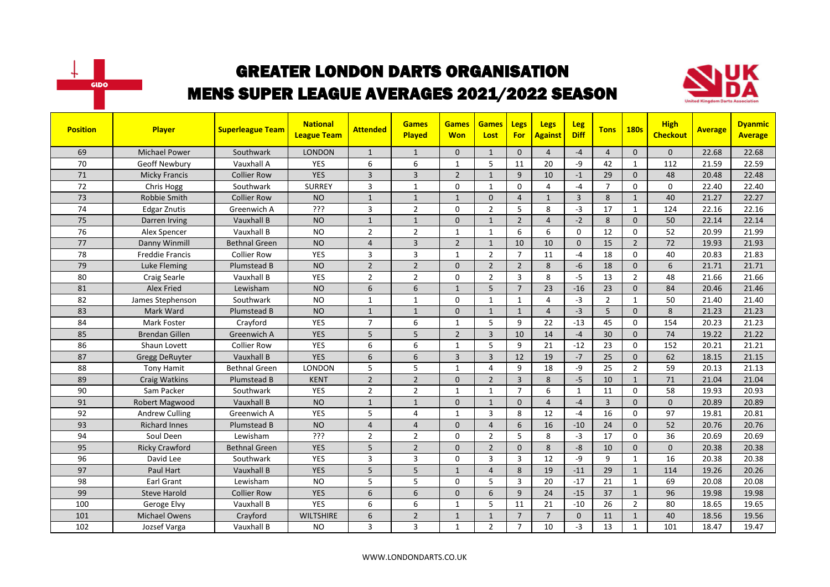



| <b>Position</b> | <b>Player</b>          | <b>Superleague Team</b> | <b>National</b><br><b>League Team</b> | <b>Attended</b> | <b>Games</b><br><b>Played</b> | <b>Games</b><br><b>Won</b> | <b>Games</b><br>Lost | Legs<br>For    | <b>Legs</b><br>Against | Leg<br><b>Diff</b> | <b>Tons</b>    | <b>180s</b>    | <b>High</b><br><b>Checkout</b> | <b>Average</b> | <b>Dyanmic</b><br><b>Average</b> |
|-----------------|------------------------|-------------------------|---------------------------------------|-----------------|-------------------------------|----------------------------|----------------------|----------------|------------------------|--------------------|----------------|----------------|--------------------------------|----------------|----------------------------------|
| 69              | <b>Michael Power</b>   | Southwark               | <b>LONDON</b>                         | $\mathbf{1}$    | $\mathbf{1}$                  | 0                          | $\mathbf{1}$         | $\Omega$       | $\overline{4}$         | $-4$               | $\overline{4}$ | $\Omega$       | $\Omega$                       | 22.68          | 22.68                            |
| 70              | Geoff Newbury          | Vauxhall A              | <b>YES</b>                            | 6               | 6                             | $\mathbf{1}$               | 5                    | 11             | 20                     | -9                 | 42             | $\mathbf{1}$   | 112                            | 21.59          | 22.59                            |
| 71              | <b>Micky Francis</b>   | <b>Collier Row</b>      | <b>YES</b>                            | 3               | $\overline{3}$                | $\overline{2}$             | $\mathbf{1}$         | 9              | 10                     | $-1$               | 29             | $\mathbf{0}$   | 48                             | 20.48          | 22.48                            |
| 72              | Chris Hogg             | Southwark               | <b>SURREY</b>                         | 3               | $\mathbf{1}$                  | 0                          | $\mathbf{1}$         | 0              | $\overline{4}$         | $-4$               | $\overline{7}$ | $\mathbf 0$    | $\mathbf 0$                    | 22.40          | 22.40                            |
| 73              | Robbie Smith           | <b>Collier Row</b>      | <b>NO</b>                             | $\mathbf{1}$    | $\mathbf{1}$                  | $\mathbf{1}$               | $\Omega$             | $\overline{4}$ | $\mathbf{1}$           | $\overline{3}$     | 8              | $\mathbf{1}$   | 40                             | 21.27          | 22.27                            |
| 74              | <b>Edgar Znutis</b>    | Greenwich A             | ???                                   | $\overline{3}$  | $\overline{2}$                | 0                          | $\overline{2}$       | 5              | 8                      | $-3$               | 17             | $\mathbf{1}$   | 124                            | 22.16          | 22.16                            |
| 75              | Darren Irving          | Vauxhall B              | <b>NO</b>                             | $\mathbf{1}$    | $\mathbf{1}$                  | 0                          | $\mathbf{1}$         | $\overline{2}$ | $\overline{4}$         | $-2$               | 8              | $\mathbf{0}$   | 50                             | 22.14          | 22.14                            |
| 76              | Alex Spencer           | Vauxhall B              | <b>NO</b>                             | $\overline{2}$  | $\overline{2}$                | $\mathbf{1}$               | $\mathbf{1}$         | 6              | 6                      | $\mathbf 0$        | 12             | $\mathbf 0$    | 52                             | 20.99          | 21.99                            |
| 77              | Danny Winmill          | <b>Bethnal Green</b>    | <b>NO</b>                             | 4               | $\overline{3}$                | $\overline{2}$             | $\mathbf{1}$         | 10             | 10                     | $\Omega$           | 15             | $\overline{2}$ | 72                             | 19.93          | 21.93                            |
| 78              | <b>Freddie Francis</b> | <b>Collier Row</b>      | <b>YES</b>                            | 3               | $\overline{3}$                | $\mathbf{1}$               | $\overline{2}$       | $\overline{7}$ | 11                     | $-4$               | 18             | $\Omega$       | 40                             | 20.83          | 21.83                            |
| 79              | Luke Fleming           | Plumstead B             | <b>NO</b>                             | $\overline{2}$  | $\overline{2}$                | 0                          | $\overline{2}$       | $\overline{2}$ | 8                      | $-6$               | 18             | $\mathbf{0}$   | 6                              | 21.71          | 21.71                            |
| 80              | <b>Craig Searle</b>    | Vauxhall B              | YES                                   | $\overline{2}$  | $\overline{2}$                | 0                          | $\overline{2}$       | 3              | 8                      | $-5$               | 13             | $\overline{2}$ | 48                             | 21.66          | 21.66                            |
| 81              | <b>Alex Fried</b>      | Lewisham                | <b>NO</b>                             | 6               | 6                             | $\mathbf{1}$               | 5                    | $\overline{7}$ | 23                     | $-16$              | 23             | $\Omega$       | 84                             | 20.46          | 21.46                            |
| 82              | James Stephenson       | Southwark               | <b>NO</b>                             | $\mathbf{1}$    | $\mathbf{1}$                  | 0                          | $\mathbf{1}$         | $\mathbf{1}$   | 4                      | $-3$               | $\overline{2}$ | $\mathbf{1}$   | 50                             | 21.40          | 21.40                            |
| 83              | Mark Ward              | Plumstead B             | <b>NO</b>                             | $\mathbf{1}$    | $\mathbf{1}$                  | 0                          | $\mathbf{1}$         | $\mathbf{1}$   | $\overline{4}$         | $-3$               | 5              | $\mathbf{0}$   | 8                              | 21.23          | 21.23                            |
| 84              | Mark Foster            | Crayford                | YES                                   | $\overline{7}$  | 6                             | 1                          | 5                    | 9              | 22                     | $-13$              | 45             | $\Omega$       | 154                            | 20.23          | 21.23                            |
| 85              | <b>Brendan Gillen</b>  | Greenwich A             | <b>YES</b>                            | 5               | 5                             | $\overline{2}$             | $\overline{3}$       | 10             | 14                     | $-4$               | 30             | $\Omega$       | 74                             | 19.22          | 21.22                            |
| 86              | Shaun Lovett           | <b>Collier Row</b>      | YES                                   | 6               | 6                             | $\mathbf{1}$               | 5                    | 9              | 21                     | $-12$              | 23             | $\Omega$       | 152                            | 20.21          | 21.21                            |
| 87              | <b>Gregg DeRuyter</b>  | Vauxhall B              | <b>YES</b>                            | 6               | 6                             | $\overline{3}$             | $\overline{3}$       | 12             | 19                     | $-7$               | 25             | $\mathbf{0}$   | 62                             | 18.15          | 21.15                            |
| 88              | Tony Hamit             | <b>Bethnal Green</b>    | LONDON                                | 5               | 5                             | 1                          | $\overline{4}$       | 9              | 18                     | -9                 | 25             | $\overline{2}$ | 59                             | 20.13          | 21.13                            |
| 89              | <b>Craig Watkins</b>   | Plumstead B             | <b>KENT</b>                           | $\overline{2}$  | $\overline{2}$                | $\Omega$                   | $\overline{2}$       | $\overline{3}$ | 8                      | $-5$               | 10             | $\mathbf{1}$   | 71                             | 21.04          | 21.04                            |
| 90              | Sam Packer             | Southwark               | <b>YES</b>                            | $\overline{2}$  | $\overline{2}$                | $\mathbf{1}$               | $\mathbf{1}$         | $\overline{7}$ | 6                      | $\mathbf{1}$       | 11             | $\Omega$       | 58                             | 19.93          | 20.93                            |
| 91              | Robert Magwood         | Vauxhall B              | <b>NO</b>                             | $\mathbf{1}$    | $\mathbf{1}$                  | 0                          | $\mathbf{1}$         | $\mathbf{0}$   | $\overline{4}$         | $-4$               | $\overline{3}$ | $\mathbf{0}$   | $\mathbf{0}$                   | 20.89          | 20.89                            |
| 92              | <b>Andrew Culling</b>  | Greenwich A             | <b>YES</b>                            | 5               | $\overline{4}$                | $\mathbf{1}$               | $\overline{3}$       | 8              | 12                     | $-4$               | 16             | 0              | 97                             | 19.81          | 20.81                            |
| 93              | <b>Richard Innes</b>   | Plumstead B             | <b>NO</b>                             | 4               | $\overline{4}$                | $\Omega$                   | $\overline{4}$       | 6              | 16                     | $-10$              | 24             | $\Omega$       | 52                             | 20.76          | 20.76                            |
| 94              | Soul Deen              | Lewisham                | ???                                   | $\overline{2}$  | $\overline{2}$                | 0                          | $\overline{2}$       | 5              | 8                      | $-3$               | 17             | $\Omega$       | 36                             | 20.69          | 20.69                            |
| 95              | <b>Ricky Crawford</b>  | <b>Bethnal Green</b>    | <b>YES</b>                            | 5               | $\overline{2}$                | 0                          | $\overline{2}$       | $\mathbf{0}$   | 8                      | $-8$               | 10             | $\mathbf{0}$   | $\mathbf{0}$                   | 20.38          | 20.38                            |
| 96              | David Lee              | Southwark               | <b>YES</b>                            | 3               | 3                             | 0                          | 3                    | 3              | 12                     | -9                 | 9              | $\mathbf{1}$   | 16                             | 20.38          | 20.38                            |
| 97              | Paul Hart              | Vauxhall B              | <b>YES</b>                            | 5               | 5                             | $\mathbf{1}$               | $\overline{4}$       | 8              | 19                     | $-11$              | 29             | $\mathbf{1}$   | 114                            | 19.26          | 20.26                            |
| 98              | Earl Grant             | Lewisham                | <b>NO</b>                             | 5               | 5                             | 0                          | 5                    | 3              | 20                     | $-17$              | 21             | $\mathbf{1}$   | 69                             | 20.08          | 20.08                            |
| 99              | <b>Steve Harold</b>    | <b>Collier Row</b>      | <b>YES</b>                            | 6               | 6                             | $\Omega$                   | 6                    | 9              | 24                     | $-15$              | 37             | $\mathbf{1}$   | 96                             | 19.98          | 19.98                            |
| 100             | Geroge Elvy            | Vauxhall B              | <b>YES</b>                            | 6               | 6                             | $\mathbf{1}$               | 5                    | 11             | 21                     | $-10$              | 26             | $\overline{2}$ | 80                             | 18.65          | 19.65                            |
| 101             | Michael Owens          | Crayford                | <b>WILTSHIRE</b>                      | 6               | $\overline{2}$                | $\mathbf{1}$               | $\mathbf{1}$         | $\overline{7}$ | $\overline{7}$         | $\mathbf{0}$       | 11             | $\mathbf{1}$   | 40                             | 18.56          | 19.56                            |
| 102             | Jozsef Varga           | Vauxhall B              | <b>NO</b>                             | 3               | 3                             | 1                          | 2                    | $\overline{7}$ | 10                     | $-3$               | 13             | $\mathbf{1}$   | 101                            | 18.47          | 19.47                            |